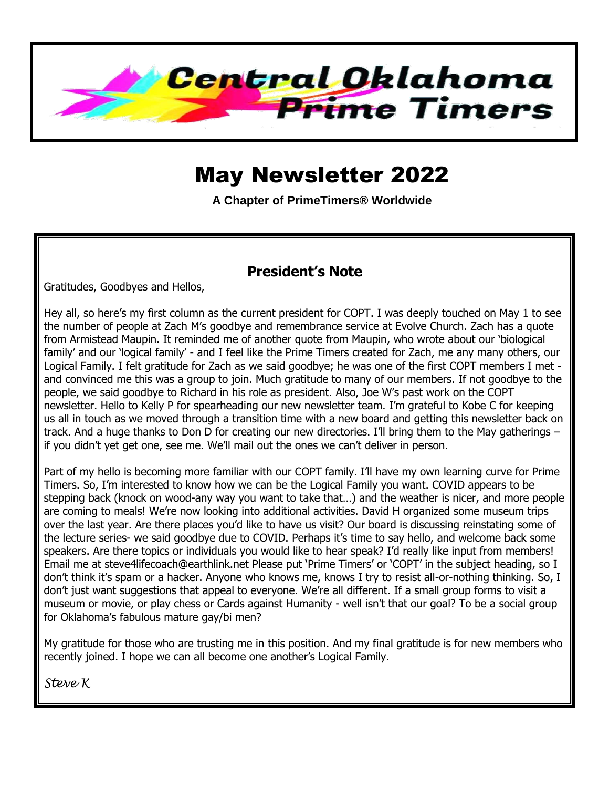

# May Newsletter 2022

**A Chapter of PrimeTimers® Worldwide**

### **President's Note**

Gratitudes, Goodbyes and Hellos,

Hey all, so here's my first column as the current president for COPT. I was deeply touched on May 1 to see the number of people at Zach M's goodbye and remembrance service at Evolve Church. Zach has a quote from Armistead Maupin. It reminded me of another quote from Maupin, who wrote about our 'biological family' and our 'logical family' - and I feel like the Prime Timers created for Zach, me any many others, our Logical Family. I felt gratitude for Zach as we said goodbye; he was one of the first COPT members I met and convinced me this was a group to join. Much gratitude to many of our members. If not goodbye to the people, we said goodbye to Richard in his role as president. Also, Joe W's past work on the COPT newsletter. Hello to Kelly P for spearheading our new newsletter team. I'm grateful to Kobe C for keeping us all in touch as we moved through a transition time with a new board and getting this newsletter back on track. And a huge thanks to Don D for creating our new directories. I'll bring them to the May gatherings – if you didn't yet get one, see me. We'll mail out the ones we can't deliver in person.

Part of my hello is becoming more familiar with our COPT family. I'll have my own learning curve for Prime Timers. So, I'm interested to know how we can be the Logical Family you want. COVID appears to be stepping back (knock on wood-any way you want to take that…) and the weather is nicer, and more people are coming to meals! We're now looking into additional activities. David H organized some museum trips over the last year. Are there places you'd like to have us visit? Our board is discussing reinstating some of the lecture series- we said goodbye due to COVID. Perhaps it's time to say hello, and welcome back some speakers. Are there topics or individuals you would like to hear speak? I'd really like input from members! Email me at steve4lifecoach@earthlink.net Please put 'Prime Timers' or 'COPT' in the subject heading, so I don't think it's spam or a hacker. Anyone who knows me, knows I try to resist all-or-nothing thinking. So, I don't just want suggestions that appeal to everyone. We're all different. If a small group forms to visit a museum or movie, or play chess or Cards against Humanity - well isn't that our goal? To be a social group for Oklahoma's fabulous mature gay/bi men?

My gratitude for those who are trusting me in this position. And my final gratitude is for new members who recently joined. I hope we can all become one another's Logical Family.

*Steve K*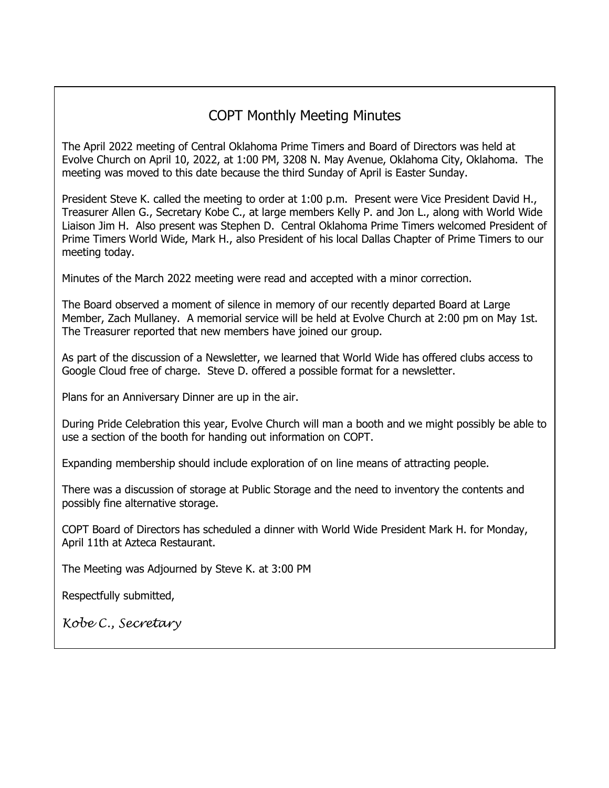### COPT Monthly Meeting Minutes

The April 2022 meeting of Central Oklahoma Prime Timers and Board of Directors was held at Evolve Church on April 10, 2022, at 1:00 PM, 3208 N. May Avenue, Oklahoma City, Oklahoma. The meeting was moved to this date because the third Sunday of April is Easter Sunday.

President Steve K. called the meeting to order at 1:00 p.m. Present were Vice President David H., Treasurer Allen G., Secretary Kobe C., at large members Kelly P. and Jon L., along with World Wide Liaison Jim H. Also present was Stephen D. Central Oklahoma Prime Timers welcomed President of Prime Timers World Wide, Mark H., also President of his local Dallas Chapter of Prime Timers to our meeting today.

Minutes of the March 2022 meeting were read and accepted with a minor correction.

The Board observed a moment of silence in memory of our recently departed Board at Large Member, Zach Mullaney. A memorial service will be held at Evolve Church at 2:00 pm on May 1st. The Treasurer reported that new members have joined our group.

As part of the discussion of a Newsletter, we learned that World Wide has offered clubs access to Google Cloud free of charge. Steve D. offered a possible format for a newsletter.

Plans for an Anniversary Dinner are up in the air.

During Pride Celebration this year, Evolve Church will man a booth and we might possibly be able to use a section of the booth for handing out information on COPT.

Expanding membership should include exploration of on line means of attracting people.

There was a discussion of storage at Public Storage and the need to inventory the contents and possibly fine alternative storage.

COPT Board of Directors has scheduled a dinner with World Wide President Mark H. for Monday, April 11th at Azteca Restaurant.

The Meeting was Adjourned by Steve K. at 3:00 PM

Respectfully submitted,

*Kobe C., Secretary*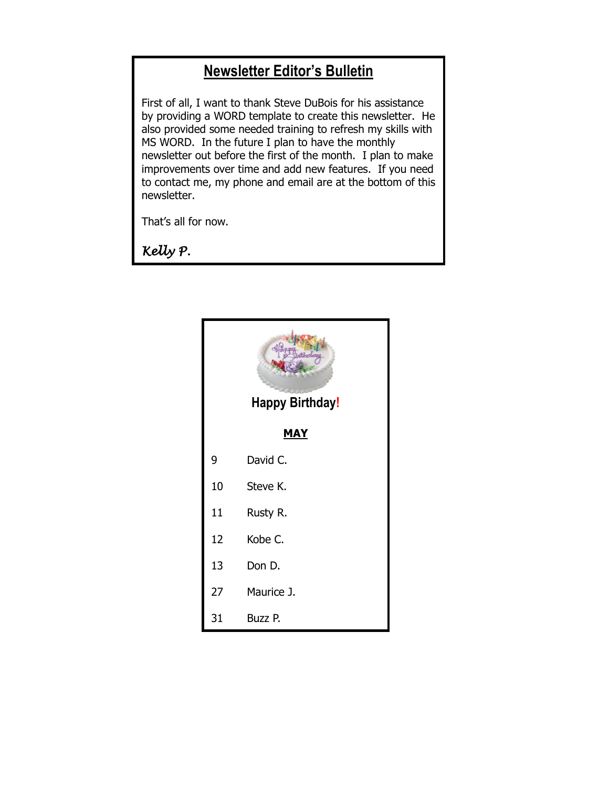## **Newsletter Editor's Bulletin**

First of all, I want to thank Steve DuBois for his assistance by providing a WORD template to create this newsletter. He also provided some needed training to refresh my skills with MS WORD. In the future I plan to have the monthly newsletter out before the first of the month. I plan to make improvements over time and add new features. If you need to contact me, my phone and email are at the bottom of this newsletter.

That's all for now.

*Kelly P.* 

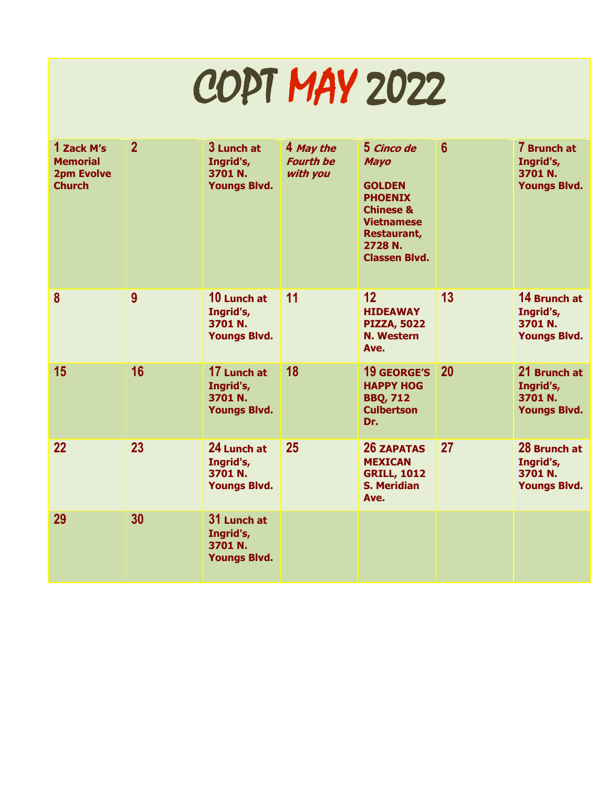# COPT MAY 2022

| 1 Zack M's<br><b>Memorial</b><br><b>2pm Evolve</b><br><b>Church</b> | $\overline{2}$ | 3 Lunch at<br>Ingrid's,<br>3701 N.<br><b>Youngs Blvd.</b>  | 4 May the<br><b>Fourth be</b><br>with you | 5 Cinco de<br><b>Mayo</b><br><b>GOLDEN</b><br><b>PHOENIX</b><br><b>Chinese &amp;</b><br><b>Vietnamese</b><br><b>Restaurant,</b><br>2728 N.<br><b>Classen Blvd.</b> | $6\phantom{1}6$ | 7 Brunch at<br>Ingrid's,<br>3701 N.<br><b>Youngs Blvd.</b>  |
|---------------------------------------------------------------------|----------------|------------------------------------------------------------|-------------------------------------------|--------------------------------------------------------------------------------------------------------------------------------------------------------------------|-----------------|-------------------------------------------------------------|
| 8                                                                   | 9              | 10 Lunch at<br>Ingrid's,<br>3701 N.<br><b>Youngs Blvd.</b> | 11                                        | 12<br><b>HIDEAWAY</b><br><b>PIZZA, 5022</b><br><b>N. Western</b><br>Ave.                                                                                           | 13              | 14 Brunch at<br>Ingrid's,<br>3701 N.<br><b>Youngs Blvd.</b> |
| 15                                                                  | 16             | 17 Lunch at<br>Ingrid's,<br>3701 N.<br><b>Youngs Blvd.</b> | 18                                        | <b>19 GEORGE'S</b><br><b>HAPPY HOG</b><br><b>BBQ, 712</b><br><b>Culbertson</b><br>Dr.                                                                              | 20              | 21 Brunch at<br>Ingrid's,<br>3701 N.<br><b>Youngs Blvd.</b> |
| 22                                                                  | 23             | 24 Lunch at<br>Ingrid's,<br>3701 N.<br><b>Youngs Blvd.</b> | 25                                        | <b>26 ZAPATAS</b><br><b>MEXICAN</b><br><b>GRILL, 1012</b><br><b>S. Meridian</b><br>Ave.                                                                            | 27              | 28 Brunch at<br>Ingrid's,<br>3701 N.<br><b>Youngs Blvd.</b> |
| 29                                                                  | 30             | 31 Lunch at<br>Ingrid's,<br>3701 N.<br><b>Youngs Blvd.</b> |                                           |                                                                                                                                                                    |                 |                                                             |